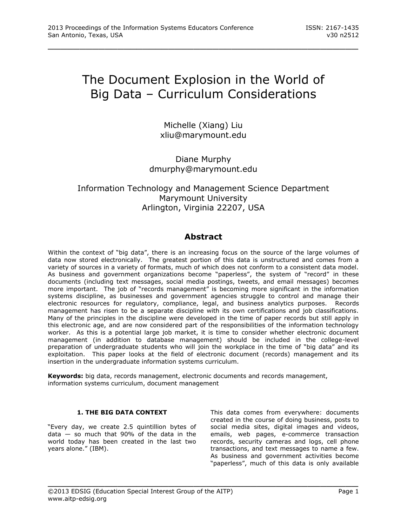# The Document Explosion in the World of Big Data – Curriculum Considerations

\_\_\_\_\_\_\_\_\_\_\_\_\_\_\_\_\_\_\_\_\_\_\_\_\_\_\_\_\_\_\_\_\_\_\_\_\_\_\_\_\_\_\_\_\_\_\_\_\_

Michelle (Xiang) Liu [xliu@marymount.edu](mailto:xliu@marymount.edu)

# Diane Murphy [dmurphy@marymount.edu](mailto:dmurphy@marymount.edu)

# Information Technology and Management Science Department Marymount University Arlington, Virginia 22207, USA

# **Abstract**

Within the context of "big data", there is an increasing focus on the source of the large volumes of data now stored electronically. The greatest portion of this data is unstructured and comes from a variety of sources in a variety of formats, much of which does not conform to a consistent data model. As business and government organizations become "paperless", the system of "record" in these documents (including text messages, social media postings, tweets, and email messages) becomes more important. The job of "records management" is becoming more significant in the information systems discipline, as businesses and government agencies struggle to control and manage their electronic resources for regulatory, compliance, legal, and business analytics purposes. Records management has risen to be a separate discipline with its own certifications and job classifications. Many of the principles in the discipline were developed in the time of paper records but still apply in this electronic age, and are now considered part of the responsibilities of the information technology worker. As this is a potential large job market, it is time to consider whether electronic document management (in addition to database management) should be included in the college-level preparation of undergraduate students who will join the workplace in the time of "big data" and its exploitation. This paper looks at the field of electronic document (records) management and its insertion in the undergraduate information systems curriculum.

**Keywords:** big data, records management, electronic documents and records management, information systems curriculum, document management

\_\_\_\_\_\_\_\_\_\_\_\_\_\_\_\_\_\_\_\_\_\_\_\_\_\_\_\_\_\_\_\_\_\_\_\_\_\_\_\_\_\_\_\_\_\_\_\_\_

# **1. THE BIG DATA CONTEXT**

"Every day, we create 2.5 quintillion bytes of data  $-$  so much that 90% of the data in the world today has been created in the last two years alone." [\(IBM\)](#page-6-0).

This data comes from everywhere: documents created in the course of doing business, posts to social media sites, digital images and videos, emails, web pages, e-commerce transaction records, security cameras and logs, cell phone transactions, and text messages to name a few. As business and government activities become "paperless", much of this data is only available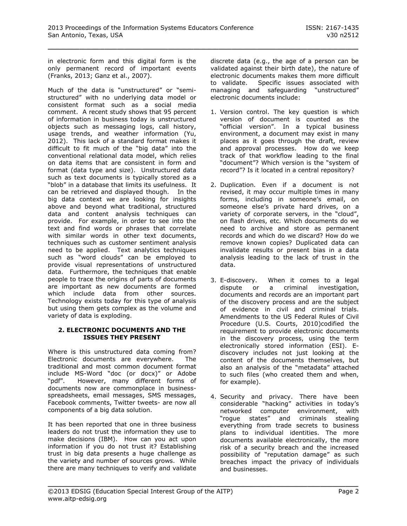in electronic form and this digital form is the only permanent record of important events [\(Franks, 2013;](#page-6-1) [Ganz et al., 2007\)](#page-6-2).

Much of the data is "unstructured" or "semistructured" with no underlying data model or consistent format such as a social media comment. A recent study shows that 95 percent of information in business today is unstructured objects such as messaging logs, call history, usage trends, and weather information [\(Yu,](#page-7-0)  [2012\)](#page-7-0). This lack of a standard format makes it difficult to fit much of the "big data" into the conventional relational data model, which relies on data items that are consistent in form and format (data type and size). Unstructured data such as text documents is typically stored as a "blob" in a database that limits its usefulness. It can be retrieved and displayed though. In the big data context we are looking for insights above and beyond what traditional, structured data and content analysis techniques can provide. For example, in order to see into the text and find words or phrases that correlate with similar words in other text documents, techniques such as customer sentiment analysis need to be applied. Text analytics techniques such as "word clouds" can be employed to provide visual representations of unstructured data. Furthermore, the techniques that enable people to trace the origins of parts of documents are important as new documents are formed which include data from other sources. Technology exists today for this type of analysis but using them gets complex as the volume and variety of data is exploding.

#### **2. ELECTRONIC DOCUMENTS AND THE ISSUES THEY PRESENT**

Where is this unstructured data coming from? Electronic documents are everywhere. The traditional and most common document format include MS-Word "doc (or docx)" or Adobe "pdf". However, many different forms of documents now are commonplace in businessspreadsheets, email messages, SMS messages, Facebook comments, Twitter tweets- are now all components of a big data solution.

It has been reported that one in three business leaders do not trust the information they use to make decisions [\(IBM\)](#page-6-0). How can you act upon information if you do not trust it? Establishing trust in big data presents a huge challenge as the variety and number of sources grows. While there are many techniques to verify and validate

discrete data (e.g., the age of a person can be validated against their birth date), the nature of electronic documents makes them more difficult to validate. Specific issues associated with managing and safeguarding "unstructured" electronic documents include:

- 1. Version control. The key question is which version of document is counted as the "official version". In a typical business environment, a document may exist in many places as it goes through the draft, review and approval processes. How do we keep track of that workflow leading to the final "document"? Which version is the "system of record"? Is it located in a central repository?
- 2. Duplication. Even if a document is not revised, it may occur multiple times in many forms, including in someone's email, on someone else's private hard drives, on a variety of corporate servers, in the "cloud", on flash drives, etc. Which documents do we need to archive and store as permanent records and which do we discard? How do we remove known copies? Duplicated data can invalidate results or present bias in a data analysis leading to the lack of trust in the data.
- 3. E-discovery. When it comes to a legal dispute or a criminal investigation, documents and records are an important part of the discovery process and are the subject of evidence in civil and criminal trials. Amendments to the US Federal Rules of Civil Procedure [\(U.S. Courts, 2010\)](#page-6-3)codified the requirement to provide electronic documents in the discovery process, using the term electronically stored information (ESI). Ediscovery includes not just looking at the content of the documents themselves, but also an analysis of the "metadata" attached to such files (who created them and when, for example).
- 4. Security and privacy. There have been considerable "hacking" activities in today's networked computer environment, with "rogue states" and criminals stealing everything from trade secrets to business plans to individual identities. The more documents available electronically, the more risk of a security breach and the increased possibility of "reputation damage" as such breaches impact the privacy of individuals and businesses.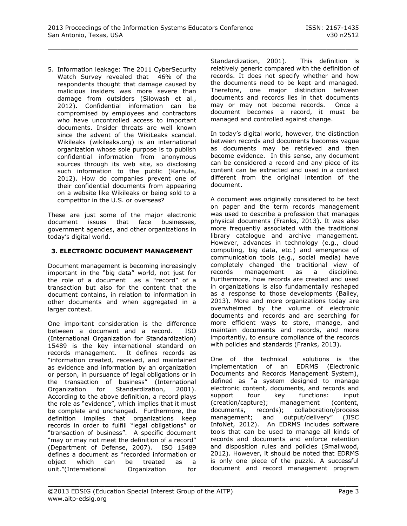5. Information leakage: The 2011 CyberSecurity Watch Survey revealed that 46% of the respondents thought that damage caused by malicious insiders was more severe than damage from outsiders [\(Silowash et al.,](#page-6-4)  [2012\)](#page-6-4). Confidential information can be compromised by employees and contractors who have uncontrolled access to important documents. Insider threats are well known since the advent of the WikiLeaks scandal. Wikileaks (wikileaks.org) is an international organization whose sole purpose is to publish confidential information from anonymous [sources](http://en.wikipedia.org/wiki/Journalism_sourcing) through its web site, so disclosing such information to the public [\(Karhula,](#page-6-5)  [2012\)](#page-6-5). How do companies prevent one of their confidential documents from appearing on a website like Wikileaks or being sold to a competitor in the U.S. or overseas?

These are just some of the major electronic document issues that face businesses, government agencies, and other organizations in today's digital world.

### **3. ELECTRONIC DOCUMENT MANAGEMENT**

Document management is becoming increasingly important in the "big data" world, not just for the role of a document as a "record" of a transaction but also for the content that the document contains, in relation to information in other documents and when aggregated in a larger context.

One important consideration is the difference between a document and a record. ISO (International Organization for Standardization) 15489 is the key international standard on records management. It defines records as "information created, received, and maintained as evidence and information by an organization or person, in pursuance of legal obligations or in the transaction of business" [\(International](#page-6-6)  [Organization for Standardization, 2001\)](#page-6-6). According to the above definition, a record plays the role as "evidence", which implies that it must be complete and unchanged. Furthermore, the definition implies that organizations keep records in order to fulfill "legal obligations" or "transaction of business". A specific document "may or may not meet the definition of a record" [\(Department of Defense, 2007\)](#page-6-7). ISO 15489 defines a document as "recorded information or object which can be treated as a unit."(International Organization for

[Standardization, 2001\)](#page-6-6). This definition is relatively generic compared with the definition of records. It does not specify whether and how the documents need to be kept and managed. Therefore, one major distinction between documents and records lies in that documents may or may not become records. Once a document becomes a record, it must be managed and controlled against change.

In today's digital world, however, the distinction between records and documents becomes vague as documents may be retrieved and then become evidence. In this sense, any document can be considered a record and any piece of its content can be extracted and used in a context different from the original intention of the document.

A document was originally considered to be text on paper and the term records management was used to describe a profession that manages physical documents [\(Franks, 2013\)](#page-6-1). It was also more frequently associated with the traditional library catalogue and archive management. However, advances in technology (e.g., cloud computing, big data, etc.) and emergence of communication tools (e.g., social media) have completely changed the traditional view of records management as a discipline. Furthermore, how records are created and used in organizations is also fundamentally reshaped as a response to those developments [\(Bailey,](#page-6-8)  [2013\)](#page-6-8). More and more organizations today are overwhelmed by the volume of electronic documents and records and are searching for more efficient ways to store, manage, and maintain documents and records, and more importantly, to ensure compliance of the records with policies and standards [\(Franks, 2013\)](#page-6-1).

One of the technical solutions is the implementation of an EDRMS (Electronic Documents and Records Management System), defined as "a system designed to manage electronic content, documents, and records and support four key functions: input (creation/capture); management (content, documents, records); collaboration/process management; and output/delivery" [\(JISC](#page-6-9)  [InfoNet, 2012\)](#page-6-9). An EDRMS includes software tools that can be used to manage all kinds of records and documents and enforce retention and disposition rules and policies [\(Smallwood,](#page-6-10)  [2012\)](#page-6-10). However, it should be noted that EDRMS is only one piece of the puzzle. A successful document and record management program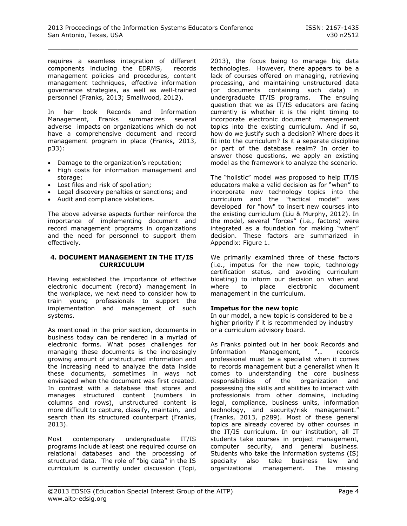requires a seamless integration of different components including the EDRMS, records management policies and procedures, content management techniques, effective information governance strategies, as well as well-trained personnel [\(Franks, 2013;](#page-6-1) [Smallwood, 2012\)](#page-6-10).

In her book Records and Information Management, Franks summarizes several adverse impacts on organizations which do not have a comprehensive document and record management program in place [\(Franks, 2013,](#page-6-1)  [p33\)](#page-6-1):

- Damage to the organization's reputation;
- High costs for information management and storage;
- Lost files and risk of spoliation;
- Legal discovery penalties or sanctions; and
- Audit and compliance violations.

The above adverse aspects further reinforce the importance of implementing document and record management programs in organizations and the need for personnel to support them effectively.

#### **4. DOCUMENT MANAGEMENT IN THE IT/IS CURRICULUM**

Having established the importance of effective electronic document (record) management in the workplace, we next need to consider how to train young professionals to support the implementation and management of such systems.

As mentioned in the prior section, documents in business today can be rendered in a myriad of electronic forms. What poses challenges for managing these documents is the increasingly growing amount of unstructured information and the increasing need to analyze the data inside these documents, sometimes in ways not envisaged when the document was first created. In contrast with a database that stores and manages structured content (numbers in columns and rows), unstructured content is more difficult to capture, classify, maintain, and search than its structured counterpart [\(Franks,](#page-6-1)  [2013\)](#page-6-1).

Most contemporary undergraduate IT/IS programs include at least one required course on relational databases and the processing of structured data. The role of "big data" in the IS curriculum is currently under discussion [\(Topi,](#page-6-11)  [2013\)](#page-6-11), the focus being to manage big data technologies. However, there appears to be a lack of courses offered on managing, retrieving processing, and maintaining unstructured data (or documents containing such data) in undergraduate IT/IS programs. The ensuing question that we as IT/IS educators are facing currently is whether it is the right timing to incorporate electronic document management topics into the existing curriculum. And if so, how do we justify such a decision? Where does it fit into the curriculum? Is it a separate discipline or part of the database realm? In order to answer those questions, we apply an existing model as the framework to analyze the scenario.

The "holistic" model was proposed to help IT/IS educators make a valid decision as for "when" to incorporate new technology topics into the curriculum and the "tactical model" was developed for "how" to insert new courses into the existing curriculum [\(Liu & Murphy, 2012\)](#page-6-12). In the model, several "forces" (i.e., factors) were integrated as a foundation for making "when" decision. These factors are summarized in Appendix: Figure 1.

We primarily examined three of these factors (i.e., impetus for the new topic, technology certification status, and avoiding curriculum bloating) to inform our decision on when and where to place electronic document management in the curriculum.

#### **Impetus for the new topic**

In our model, a new topic is considered to be a higher priority if it is recommended by industry or a curriculum advisory board.

As Franks pointed out in her book Records and Information Management, "… records professional must be a specialist when it comes to records management but a generalist when it comes to understanding the core business responsibilities of the organization and possessing the skills and abilities to interact with professionals from other domains, including legal, compliance, business units, information technology, and security/risk management." [\(Franks, 2013, p289\)](#page-6-1). Most of these general topics are already covered by other courses in the IT/IS curriculum. In our institution, all IT students take courses in project management, computer security, and general business. Students who take the information systems (IS) specialty also take business law and organizational management. The missing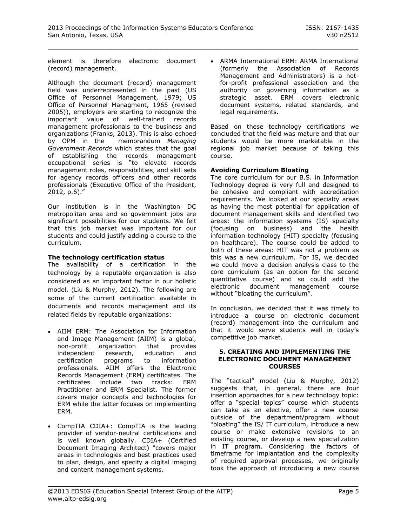element is therefore electronic document (record) management.

Although the document (record) management field was underrepresented in the past [\(US](#page-6-13)  [Office of Personnel Management, 1979;](#page-6-13) [US](#page-6-14)  [Office of Personnel Managment, 1965 \(revised](#page-6-14)  [2005\)\)](#page-6-14), employers are starting to recognize the important value of well-trained records management professionals to the business and organizations [\(Franks, 2013\)](#page-6-1). This is also echoed by OPM in the memorandum *Managing Government Records* which states that the goal of establishing the records management occupational series is "to elevate records management roles, responsibilities, and skill sets for agency records officers and other records professionals [\(Executive Office of the President,](#page-6-15)  [2012, p.6\)](#page-6-15)."

Our institution is in the Washington DC metropolitan area and so government jobs are significant possibilities for our students. We felt that this job market was important for our students and could justify adding a course to the curriculum.

# **The technology certification status**

The availability of a certification in the technology by a reputable organization is also considered as an important factor in our holistic model. [\(Liu & Murphy, 2012\)](#page-6-12). The following are some of the current certification available in documents and records management and its related fields by reputable organizations:

- AIIM ERM: The Association for Information and Image Management (AIIM) is a global, non-profit organization that provides independent research, education and certification programs to information professionals. AIIM offers the Electronic Records Management (ERM) certificates. The certificates include two tracks: ERM Practitioner and ERM Specialist. The former covers major concepts and technologies for ERM while the latter focuses on implementing ERM.
- CompTIA CDIA+: CompTIA is the leading provider of vendor-neutral certifications and is well known globally. CDIA+ (Certified Document Imaging Architect) "covers major areas in technologies and best practices used to plan, design, and specify a digital imaging and content management systems.

 ARMA International ERM: ARMA International (formerly the Association of Records Management and Administrators) is a notfor-profit professional association and the authority on governing information as a strategic asset. ERM covers electronic document systems, related standards, and legal requirements.

Based on these technology certifications we concluded that the field was mature and that our students would be more marketable in the regional job market because of taking this course.

# **Avoiding Curriculum Bloating**

The core curriculum for our B.S. in Information Technology degree is very full and designed to be cohesive and compliant with accreditation requirements. We looked at our specialty areas as having the most potential for application of document management skills and identified two areas: the information systems (IS) specialty (focusing on business) and the health information technology (HIT) specialty (focusing on healthcare). The course could be added to both of these areas: HIT was not a problem as this was a new curriculum. For IS, we decided we could move a decision analysis class to the core curriculum (as an option for the second quantitative course) and so could add the electronic document management course without "bloating the curriculum".

In conclusion, we decided that it was timely to introduce a course on electronic document (record) management into the curriculum and that it would serve students well in today's competitive job market.

#### **5. CREATING AND IMPLEMENTING THE ELECTRONIC DOCUMENT MANAGEMENT COURSES**

The "tactical" model [\(Liu & Murphy, 2012\)](#page-6-12) suggests that, in general, there are four insertion approaches for a new technology topic: offer a "special topics" course which students can take as an elective, offer a new course outside of the department/program without "bloating" the IS/ IT curriculum, introduce a new course or make extensive revisions to an existing course, or develop a new specialization in IT program. Considering the factors of timeframe for implantation and the complexity of required approval processes, we originally took the approach of introducing a new course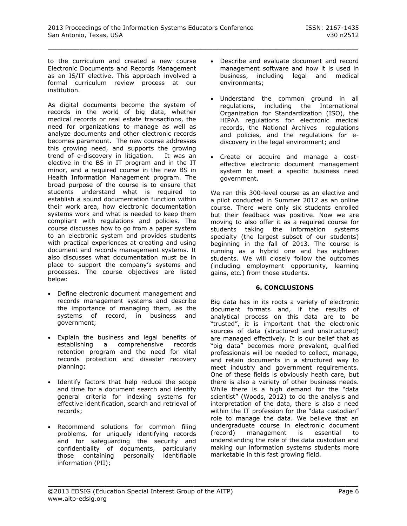to the curriculum and created a new course Electronic Documents and Records Management as an IS/IT elective. This approach involved a formal curriculum review process at our institution.

As digital documents become the system of records in the world of big data, whether medical records or real estate transactions, the need for organizations to manage as well as analyze documents and other electronic records becomes paramount. The new course addresses this growing need, and supports the growing trend of e-discovery in litigation. It was an elective in the BS in IT program and in the IT minor, and a required course in the new BS in Health Information Management program. The broad purpose of the course is to ensure that students understand what is required to establish a sound documentation function within their work area, how electronic documentation systems work and what is needed to keep them compliant with regulations and policies. The course discusses how to go from a paper system to an electronic system and provides students with practical experiences at creating and using document and records management systems. It also discusses what documentation must be in place to support the company's systems and processes. The course objectives are listed below:

- Define electronic document management and records management systems and describe the importance of managing them, as the systems of record, in business and government;
- Explain the business and legal benefits of establishing a comprehensive records retention program and the need for vital records protection and disaster recovery planning;
- Identify factors that help reduce the scope and time for a document search and identify general criteria for indexing systems for effective identification, search and retrieval of records;
- Recommend solutions for common filing problems, for uniquely identifying records and for safeguarding the security and confidentiality of documents, particularly those containing personally identifiable information (PII);
- Describe and evaluate document and record management software and how it is used in business, including legal and medical environments;
- Understand the common ground in all regulations, including the International Organization for Standardization (ISO), the HIPAA regulations for electronic medical records, the National Archives regulations and policies, and the regulations for ediscovery in the legal environment; and
- Create or acquire and manage a costeffective electronic document management system to meet a specific business need government.

We ran this 300-level course as an elective and a pilot conducted in Summer 2012 as an online course. There were only six students enrolled but their feedback was positive. Now we are moving to also offer it as a required course for students taking the information systems specialty (the largest subset of our students) beginning in the fall of 2013. The course is running as a hybrid one and has eighteen students. We will closely follow the outcomes (including employment opportunity, learning gains, etc.) from those students.

# **6. CONCLUSIONS**

Big data has in its roots a variety of electronic document formats and, if the results of analytical process on this data are to be "trusted", it is important that the electronic sources of data (structured and unstructured) are managed effectively. It is our belief that as "big data" becomes more prevalent, qualified professionals will be needed to collect, manage, and retain documents in a structured way to meet industry and government requirements. One of these fields is obviously heath care, but there is also a variety of other business needs. While there is a high demand for the "data scientist" [\(Woods, 2012\)](#page-6-16) to do the analysis and interpretation of the data, there is also a need within the IT profession for the "data custodian" role to manage the data. We believe that an undergraduate course in electronic document (record) management is essential to understanding the role of the data custodian and making our information systems students more marketable in this fast growing field.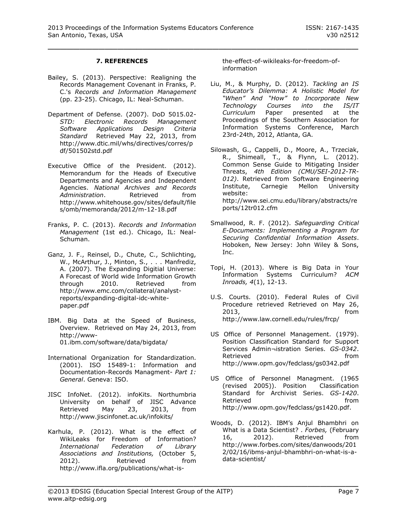# **7. REFERENCES**

- <span id="page-6-8"></span>Bailey, S. (2013). Perspective: Realigning the Records Management Covenant in Franks, P. C.'s *Records and Information Management* (pp. 23-25). Chicago, IL: Neal-Schuman.
- <span id="page-6-7"></span>Department of Defense. (2007). DoD 5015.02- *STD: Electronic Records Management Software Applications Design Criteria Standard* Retrieved May 22, 2013, from [http://www.dtic.mil/whs/directives/corres/p](http://www.dtic.mil/whs/directives/corres/pdf/501502std.pdf) [df/501502std.pdf](http://www.dtic.mil/whs/directives/corres/pdf/501502std.pdf)
- <span id="page-6-15"></span>Executive Office of the President. (2012). Memorandum for the Heads of Executive Departments and Agencies and Independent Agencies. *National Archives and Records Administration*. Retrieved from [http://www.whitehouse.gov/sites/default/file](http://www.whitehouse.gov/sites/default/files/omb/memoranda/2012/m-12-18.pdf) [s/omb/memoranda/2012/m-12-18.pdf](http://www.whitehouse.gov/sites/default/files/omb/memoranda/2012/m-12-18.pdf)
- <span id="page-6-1"></span>Franks, P. C. (2013). *Records and Information Management* (1st ed.). Chicago, IL: Neal-Schuman.
- <span id="page-6-2"></span>Ganz, J. F., Reinsel, D., Chute, C., Schlichting, W., McArthur, J., Minton, S., . . . Manfrediz, A. (2007). The Expanding Digitial Universe: A Forecast of World wide Information Growth through 2010. Retrieved from [http://www.emc.com/collateral/analyst](http://www.emc.com/collateral/analyst-reports/expanding-digital-idc-white-paper.pdf)[reports/expanding-digital-idc-white](http://www.emc.com/collateral/analyst-reports/expanding-digital-idc-white-paper.pdf)[paper.pdf](http://www.emc.com/collateral/analyst-reports/expanding-digital-idc-white-paper.pdf)
- <span id="page-6-0"></span>IBM. Big Data at the Speed of Business, Overview. Retrieved on May 24, 2013, from [http://www-](http://www-01.ibm.com/software/data/bigdata/)[01.ibm.com/software/data/bigdata/](http://www-01.ibm.com/software/data/bigdata/)
- <span id="page-6-6"></span>International Organization for Standardization. (2001). ISO 15489-1: Information and Documentation-Records Managment- *Part 1: General*. Geneva: ISO.
- <span id="page-6-9"></span>JISC InfoNet. (2012). infoKits. Northumbria University on behalf of JISC Advance Retrieved May 23, 2013, from <http://www.jiscinfonet.ac.uk/infokits/>
- <span id="page-6-5"></span>Karhula, P. (2012). What is the effect of WikiLeaks for Freedom of Information?<br>International Federation of Librarv *International Federation of Library Associations and Institutions,* (October 5, 2012). Retrieved from [http://www.ifla.org/publications/what-is-](http://www.ifla.org/publications/what-is-the-effect-of-wikileaks-for-freedom-of-information)

[the-effect-of-wikileaks-for-freedom-of](http://www.ifla.org/publications/what-is-the-effect-of-wikileaks-for-freedom-of-information)[information](http://www.ifla.org/publications/what-is-the-effect-of-wikileaks-for-freedom-of-information)

- <span id="page-6-12"></span>Liu, M., & Murphy, D. (2012). *Tackling an IS Educator's Dilemma: A Holistic Model for "When" And "How" to Incorporate New Technology Courses into the IS/IT Curriculum* Paper presented at the Proceedings of the Southern Association for Information Systems Conference, March 23rd-24th, 2012, Atlanta, GA.
- <span id="page-6-4"></span>Silowash, G., Cappelli, D., Moore, A., Trzeciak, R., Shimeall, T., & Flynn, L. (2012). Common Sense Guide to Mitigating Insider Threats, *4th Edition (CMU/SEI-2012-TR-012)*. Retrieved from Software Engineering Institute, Carnegie Mellon University website: [http://www.sei.cmu.edu/library/abstracts/re](http://www.sei.cmu.edu/library/abstracts/reports/12tr012.cfm) [ports/12tr012.cfm](http://www.sei.cmu.edu/library/abstracts/reports/12tr012.cfm)
- <span id="page-6-10"></span>Smallwood, R. F. (2012). *Safeguarding Critical E-Documents: Implementing a Program for Securing Confidential Information Assets*. Hoboken, New Jersey: John Wiley & Sons, Inc.
- <span id="page-6-11"></span>Topi, H. (2013). Where is Big Data in Your Information Systems Curriculum? *ACM Inroads, 4*(1), 12-13.
- <span id="page-6-3"></span>U.S. Courts. (2010). Federal Rules of Civil Procedure retrieved Retrieved on May 26, 2013, from <http://www.law.cornell.edu/rules/frcp/>
- <span id="page-6-13"></span>US Office of Personnel Management. (1979). Position Classification Standard for Support Services Admin¬istration Series. *GS-0342*. Retrieved **from** <http://www.opm.gov/fedclass/gs0342.pdf>
- <span id="page-6-14"></span>US Office of Personnel Managment. (1965 (revised 2005)). Position Classification Standard for Archivist Series. *GS-1420*. Retrieved extensive from [http://www.opm.gov/fedclass/gs1420.pdf.](http://www.opm.gov/fedclass/gs1420.pdf)
- <span id="page-6-16"></span>Woods, D. (2012). IBM's Anjul Bhambhri on What is a Data Scientist? . *Forbes,* (February 16, 2012). Retrieved from [http://www.forbes.com/sites/danwoods/201](http://www.forbes.com/sites/danwoods/2012/02/16/ibms-anjul-bhambhri-on-what-is-a-data-scientist/) [2/02/16/ibms-anjul-bhambhri-on-what-is-a](http://www.forbes.com/sites/danwoods/2012/02/16/ibms-anjul-bhambhri-on-what-is-a-data-scientist/)[data-scientist/](http://www.forbes.com/sites/danwoods/2012/02/16/ibms-anjul-bhambhri-on-what-is-a-data-scientist/)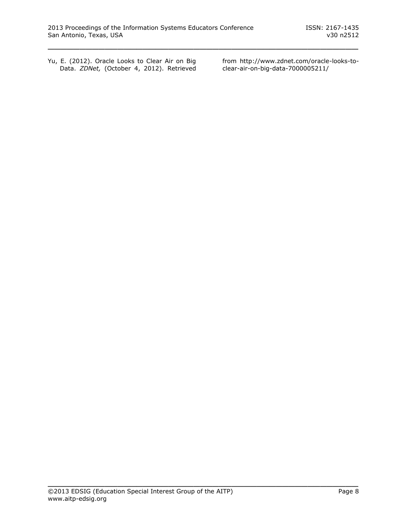<span id="page-7-0"></span>Yu, E. (2012). Oracle Looks to Clear Air on Big Data. *ZDNet,* (October 4, 2012). Retrieved from [http://www.zdnet.com/oracle-looks-to](http://www.zdnet.com/oracle-looks-to-clear-air-on-big-data-7000005211/)[clear-air-on-big-data-7000005211/](http://www.zdnet.com/oracle-looks-to-clear-air-on-big-data-7000005211/)